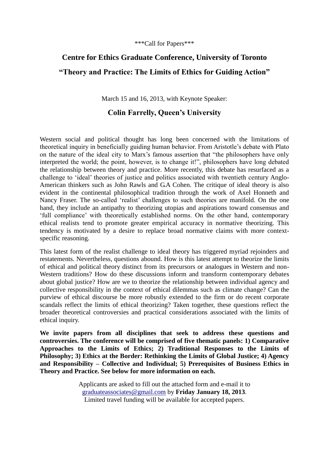\*\*\*Call for Papers\*\*\*

# **Centre for Ethics Graduate Conference, University of Toronto "Theory and Practice: The Limits of Ethics for Guiding Action"**

March 15 and 16, 2013, with Keynote Speaker:

## **Colin Farrelly, Queen's University**

Western social and political thought has long been concerned with the limitations of theoretical inquiry in beneficially guiding human behavior. From Aristotle's debate with Plato on the nature of the ideal city to Marx's famous assertion that "the philosophers have only interpreted the world; the point, however, is to change it!", philosophers have long debated the relationship between theory and practice. More recently, this debate has resurfaced as a challenge to 'ideal' theories of justice and politics associated with twentieth century Anglo-American thinkers such as John Rawls and G.A Cohen. The critique of ideal theory is also evident in the continental philosophical tradition through the work of Axel Honneth and Nancy Fraser. The so-called 'realist' challenges to such theories are manifold. On the one hand, they include an antipathy to theorizing utopias and aspirations toward consensus and 'full compliance' with theoretically established norms. On the other hand, contemporary ethical realists tend to promote greater empirical accuracy in normative theorizing. This tendency is motivated by a desire to replace broad normative claims with more contextspecific reasoning.

This latest form of the realist challenge to ideal theory has triggered myriad rejoinders and restatements. Nevertheless, questions abound. How is this latest attempt to theorize the limits of ethical and political theory distinct from its precursors or analogues in Western and non-Western traditions? How do these discussions inform and transform contemporary debates about global justice? How are we to theorize the relationship between individual agency and collective responsibility in the context of ethical dilemmas such as climate change? Can the purview of ethical discourse be more robustly extended to the firm or do recent corporate scandals reflect the limits of ethical theorizing? Taken together, these questions reflect the broader theoretical controversies and practical considerations associated with the limits of ethical inquiry.

**We invite papers from all disciplines that seek to address these questions and controversies. The conference will be comprised of five thematic panels: 1) Comparative Approaches to the Limits of Ethics; 2) Traditional Responses to the Limits of Philosophy; 3) Ethics at the Border: Rethinking the Limits of Global Justice; 4) Agency and Responsibility – Collective and Individual; 5) Prerequisites of Business Ethics in Theory and Practice. See below for more information on each.**

> Applicants are asked to fill out the attached form and e-mail it to [graduateassociates@gmail.com](mailto:graduateassociates@gmail.com) by **Friday January 18, 2013**. Limited travel funding will be available for accepted papers.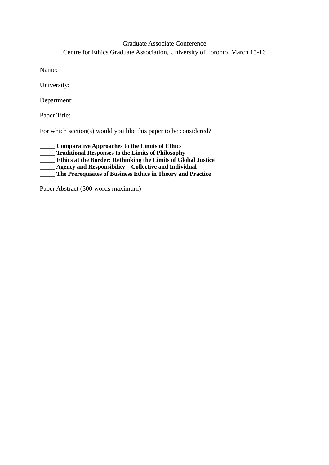## Graduate Associate Conference Centre for Ethics Graduate Association, University of Toronto, March 15-16

Name:

University:

Department:

Paper Title:

For which section(s) would you like this paper to be considered?

**\_\_\_\_\_ Comparative Approaches to the Limits of Ethics \_\_\_\_\_ Traditional Responses to the Limits of Philosophy \_\_\_\_\_ Ethics at the Border: Rethinking the Limits of Global Justice Agency and Responsibility – Collective and Individual \_\_\_\_\_ The Prerequisites of Business Ethics in Theory and Practice**

Paper Abstract (300 words maximum)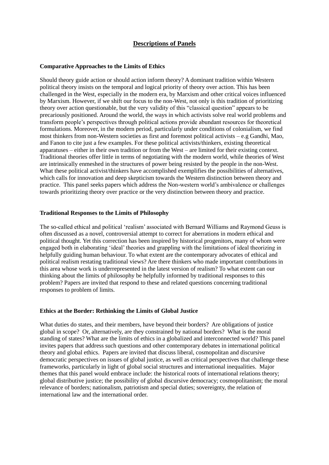### **Descriptions of Panels**

#### **Comparative Approaches to the Limits of Ethics**

Should theory guide action or should action inform theory? A dominant tradition within Western political theory insists on the temporal and logical priority of theory over action. This has been challenged in the West, especially in the modern era, by Marxism and other critical voices influenced by Marxism. However, if we shift our focus to the non-West, not only is this tradition of prioritizing theory over action questionable, but the very validity of this "classical question" appears to be precariously positioned. Around the world, the ways in which activists solve real world problems and transform people's perspectives through political actions provide abundant resources for theoretical formulations. Moreover, in the modern period, particularly under conditions of colonialism, we find most thinkers from non-Western societies as first and foremost political activists – e.g Gandhi, Mao, and Fanon to cite just a few examples. For these political activists/thinkers, existing theoretical apparatuses – either in their own tradition or from the West – are limited for their existing context. Traditional theories offer little in terms of negotiating with the modern world, while theories of West are intrinsically enmeshed in the structures of power being resisted by the people in the non-West. What these political activist/thinkers have accomplished exemplifies the possibilities of alternatives, which calls for innovation and deep skepticism towards the Western distinction between theory and practice. This panel seeks papers which address the Non-western world's ambivalence or challenges towards prioritizing theory over practice or the very distinction between theory and practice.

#### **Traditional Responses to the Limits of Philosophy**

The so-called ethical and political 'realism' associated with Bernard Williams and Raymond Geuss is often discussed as a novel, controversial attempt to correct for aberrations in modern ethical and political thought. Yet this correction has been inspired by historical progenitors, many of whom were engaged both in elaborating 'ideal' theories and grappling with the limitations of ideal theorizing in helpfully guiding human behaviour. To what extent are the contemporary advocates of ethical and political realism restating traditional views? Are there thinkers who made important contributions in this area whose work is underrepresented in the latest version of realism? To what extent can our thinking about the limits of philosophy be helpfully informed by traditional responses to this problem? Papers are invited that respond to these and related questions concerning traditional responses to problem of limits.

#### **Ethics at the Border: Rethinking the Limits of Global Justice**

What duties do states, and their members, have beyond their borders? Are obligations of justice global in scope? Or, alternatively, are they constrained by national borders? What is the moral standing of states? What are the limits of ethics in a globalized and interconnected world? This panel invites papers that address such questions and other contemporary debates in international political theory and global ethics. Papers are invited that discuss liberal, cosmopolitan and discursive democratic perspectives on issues of global justice, as well as critical perspectives that challenge these frameworks, particularly in light of global social structures and international inequalities. Major themes that this panel would embrace include: the historical roots of international relations theory; global distributive justice; the possibility of global discursive democracy; cosmopolitanism; the moral relevance of borders; nationalism, patriotism and special duties; sovereignty, the relation of international law and the international order.